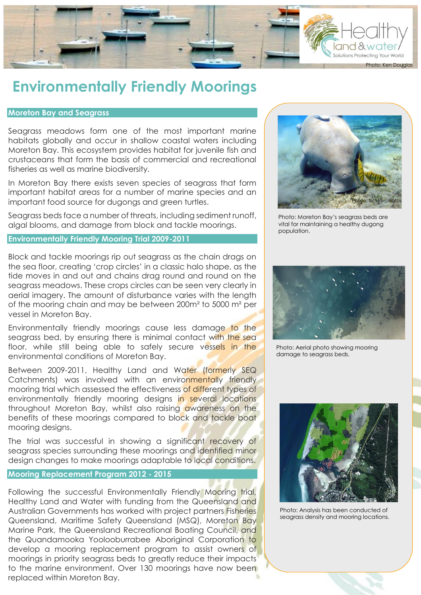

# **Environmentally Friendly Moorings**

## **Moreton Bay and Seagrass**

Seagrass meadows form one of the most important marine habitats globally and occur in shallow coastal waters including Moreton Bay. This ecosystem provides habitat for juvenile fish and crustaceans that form the basis of commercial and recreational fisheries as well as marine biodiversity.

In Moreton Bay there exists seven species of seagrass that form important habitat areas for a number of marine species and an important food source for dugongs and green turtles.

Seagrass beds face a number of threats, including sediment runoff, algal blooms, and damage from block and tackle moorings.

## **Environmentally Friendly Mooring Trial 2009-2011**



Photo: Moreton Bay's seagrass beds are vital for maintaining a healthy dugong population.

Block and tackle moorings rip out seagrass as the chain drags on the sea floor, creating 'crop circles' in a classic halo shape, as the tide moves in and out and chains drag round and round on the seagrass meadows. These crops circles can be seen very clearly in aerial imagery. The amount of disturbance varies with the length of the mooring chain and may be between 200m² to 5000 m² per vessel in Moreton Bay.

Environmentally friendly moorings cause less damage to the seagrass bed, by ensuring there is minimal contact with the sea floor, while still being able to safely secure vessels in the environmental conditions of Moreton Bay.

Between 2009-2011, Healthy Land and Water (formerly SEQ Catchments) was involved with an environmentally friendly mooring trial which assessed the effectiveness of different types of environmentally friendly mooring designs in several locations throughout Moreton Bay, whilst also raising awareness on the benefits of these moorings compared to block and tackle boat mooring designs.

The trial was successful in showing a significant recovery of seagrass species surrounding these moorings and identified minor design changes to make moorings adaptable to local conditions.

## **Mooring Replacement Program 2012 - 2015**

Following the successful Environmentally Friendly Mooring trial, Healthy Land and Water with funding from the Queensland and Australian Governments has worked with project partners Fisheries Queensland, Maritime Safety Queensland (MSQ), Moreton Bay Marine Park, the Queensland Recreational Boating Council, and the Quandamooka Yoolooburrabee Aboriginal Corporation to develop a mooring replacement program to assist owners of moorings in priority seagrass beds to greatly reduce their impacts to the marine environment. Over 130 moorings have now been replaced within Moreton Bay.



Photo: Aerial photo showing mooring damage to seagrass beds.



Photo: Analysis has been conducted of seagrass density and mooring locations.